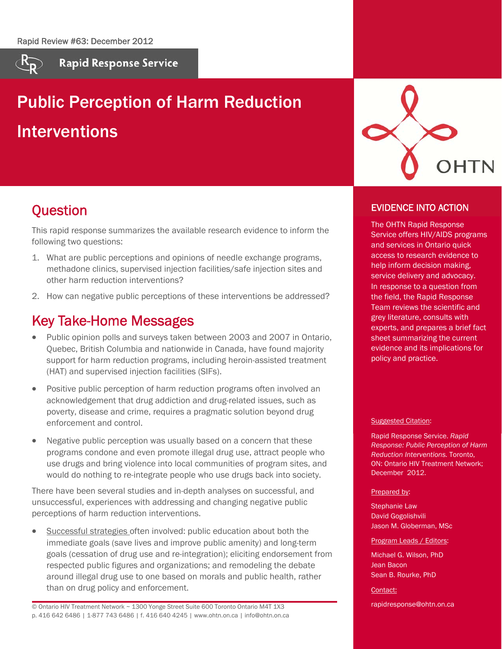

**Rapid Response Service** 

# Public Perception of Harm Reduction Interventions



# **Question**

This rapid response summarizes the available research evidence to inform the following two questions:

- 1. What are public perceptions and opinions of needle exchange programs, methadone clinics, supervised injection facilities/safe injection sites and other harm reduction interventions?
- 2. How can negative public perceptions of these interventions be addressed?

# Key Take-Home Messages

- Public opinion polls and surveys taken between 2003 and 2007 in Ontario, Quebec, British Columbia and nationwide in Canada, have found majority support for harm reduction programs, including heroin-assisted treatment (HAT) and supervised injection facilities (SIFs).
- Positive public perception of harm reduction programs often involved an acknowledgement that drug addiction and drug-related issues, such as poverty, disease and crime, requires a pragmatic solution beyond drug enforcement and control.
- Negative public perception was usually based on a concern that these programs condone and even promote illegal drug use, attract people who use drugs and bring violence into local communities of program sites, and would do nothing to re-integrate people who use drugs back into society.

There have been several studies and in-depth analyses on successful, and unsuccessful, experiences with addressing and changing negative public perceptions of harm reduction interventions.

 Successful strategies often involved: public education about both the immediate goals (save lives and improve public amenity) and long-term goals (cessation of drug use and re-integration); eliciting endorsement from respected public figures and organizations; and remodeling the debate around illegal drug use to one based on morals and public health, rather than on drug policy and enforcement.

© Ontario HIV Treatment Network ~ 1300 Yonge Street Suite 600 Toronto Ontario M4T 1X3 p. 416 642 6486 | 1-877 743 6486 | f. 416 640 4245 | www.ohtn.on.ca | info@ohtn.on.ca

### EVIDENCE INTO ACTION

The OHTN Rapid Response Service offers HIV/AIDS programs and services in Ontario quick access to research evidence to help inform decision making, service delivery and advocacy. In response to a question from the field, the Rapid Response Team reviews the scientific and grey literature, consults with experts, and prepares a brief fact sheet summarizing the current evidence and its implications for policy and practice.

#### Suggested Citation:

Rapid Response Service. *Rapid Response: Public Perception of Harm Reduction Interventions.* Toronto, ON: Ontario HIV Treatment Network; December 2012.

#### Prepared by:

Stephanie Law David Gogolishvili Jason M. Globerman, MSc

#### Program Leads / Editors:

Michael G. Wilson, PhD Jean Bacon Sean B. Rourke, PhD

Contact:

rapidresponse@ohtn.on.ca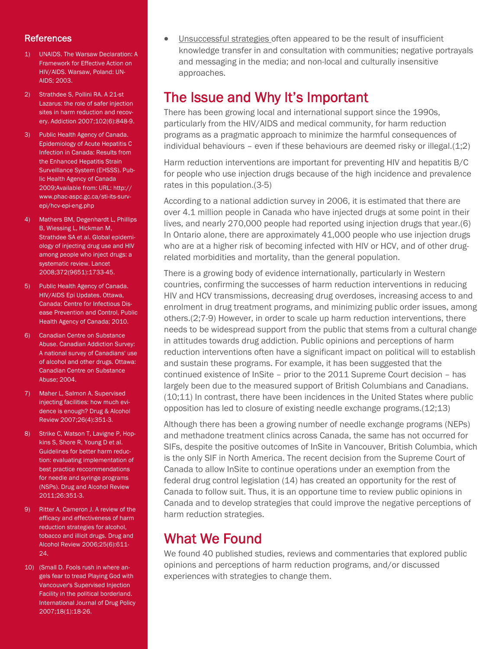### **References**

- 1) UNAIDS. The Warsaw Declaration: A Framework for Effective Action on HIV/AIDS. Warsaw, Poland: UN-AIDS; 2003.
- 2) Strathdee S, Pollini RA. A 21-st Lazarus: the role of safer injection sites in harm reduction and recovery. Addiction 2007;102(6):848-9.
- 3) Public Health Agency of Canada. Epidemiology of Acute Hepatitis C Infection in Canada: Results from the Enhanced Hepatitis Strain Surveillance System (EHSSS). Public Health Agency of Canada 2009;Available from: URL: http:// www.phac-aspc.gc.ca/sti-its-survepi/hcv-epi-eng.php
- 4) Mathers BM, Degenhardt L, Phillips B, Wiessing L, Hickman M, Strathdee SA et al. Global epidemiology of injecting drug use and HIV among people who inject drugs: a systematic review. Lancet 2008;372(9651):1733-45.
- 5) Public Health Agency of Canada. HIV/AIDS Epi Updates. Ottawa, Canada: Centre for Infectious Disease Prevention and Control, Public Health Agency of Canada; 2010.
- 6) Canadian Centre on Substance Abuse. Canadian Addiction Survey: A national survey of Canadians' use of alcohol and other drugs. Ottawa: Canadian Centre on Substance Abuse; 2004.
- 7) Maher L, Salmon A. Supervised injecting facilities: how much evidence is enough? Drug & Alcohol Review 2007;26(4):351-3.
- 8) Strike C, Watson T, Lavigne P, Hopkins S, Shore R, Young D et al. Guidelines for better harm reduction: evaluating implementation of best practice reccommendations for needle and syringe programs (NSPs). Drug and Alcohol Review 2011;26:351-3.
- 9) Ritter A, Cameron J. A review of the efficacy and effectiveness of harm reduction strategies for alcohol, tobacco and illicit drugs. Drug and Alcohol Review 2006;25(6):611-  $24.$
- 10) (Small D. Fools rush in where angels fear to tread Playing God with Vancouver's Supervised Injection Facility in the political borderland. International Journal of Drug Policy 2007;18(1):18-26.

 Unsuccessful strategies often appeared to be the result of insufficient knowledge transfer in and consultation with communities; negative portrayals and messaging in the media; and non-local and culturally insensitive approaches.

## The Issue and Why It's Important

There has been growing local and international support since the 1990s, particularly from the HIV/AIDS and medical community, for harm reduction programs as a pragmatic approach to minimize the harmful consequences of individual behaviours – even if these behaviours are deemed risky or illegal. $(1,2)$ 

Harm reduction interventions are important for preventing HIV and hepatitis B/C for people who use injection drugs because of the high incidence and prevalence rates in this population.(3-5)

According to a national addiction survey in 2006, it is estimated that there are over 4.1 million people in Canada who have injected drugs at some point in their lives, and nearly 270,000 people had reported using injection drugs that year.(6) In Ontario alone, there are approximately 41,000 people who use injection drugs who are at a higher risk of becoming infected with HIV or HCV, and of other drugrelated morbidities and mortality, than the general population.

There is a growing body of evidence internationally, particularly in Western countries, confirming the successes of harm reduction interventions in reducing HIV and HCV transmissions, decreasing drug overdoses, increasing access to and enrolment in drug treatment programs, and minimizing public order issues, among others.(2;7-9) However, in order to scale up harm reduction interventions, there needs to be widespread support from the public that stems from a cultural change in attitudes towards drug addiction. Public opinions and perceptions of harm reduction interventions often have a significant impact on political will to establish and sustain these programs. For example, it has been suggested that the continued existence of InSite – prior to the 2011 Supreme Court decision – has largely been due to the measured support of British Columbians and Canadians. (10;11) In contrast, there have been incidences in the United States where public opposition has led to closure of existing needle exchange programs.(12;13)

Although there has been a growing number of needle exchange programs (NEPs) and methadone treatment clinics across Canada, the same has not occurred for SIFs, despite the positive outcomes of InSite in Vancouver, British Columbia, which is the only SIF in North America. The recent decision from the Supreme Court of Canada to allow InSite to continue operations under an exemption from the federal drug control legislation (14) has created an opportunity for the rest of Canada to follow suit. Thus, it is an opportune time to review public opinions in Canada and to develop strategies that could improve the negative perceptions of harm reduction strategies.

### What We Found

We found 40 published studies, reviews and commentaries that explored public opinions and perceptions of harm reduction programs, and/or discussed experiences with strategies to change them.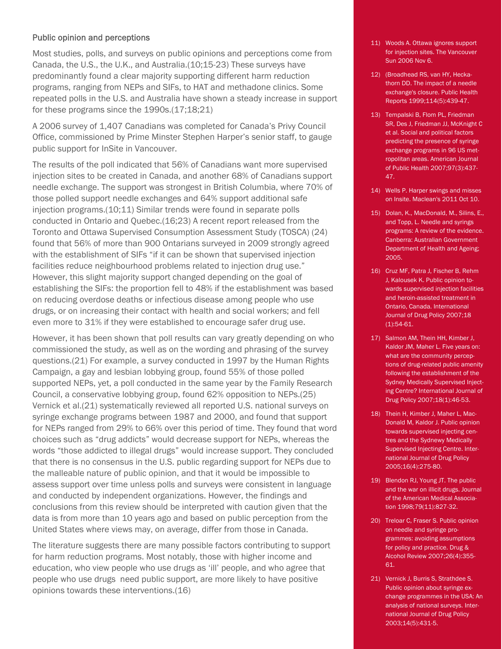#### Public opinion and perceptions

Most studies, polls, and surveys on public opinions and perceptions come from Canada, the U.S., the U.K., and Australia.(10;15-23) These surveys have predominantly found a clear majority supporting different harm reduction programs, ranging from NEPs and SIFs, to HAT and methadone clinics. Some repeated polls in the U.S. and Australia have shown a steady increase in support for these programs since the 1990s.(17;18;21)

A 2006 survey of 1,407 Canadians was completed for Canada's Privy Council Office, commissioned by Prime Minster Stephen Harper's senior staff, to gauge public support for InSite in Vancouver.

The results of the poll indicated that 56% of Canadians want more supervised injection sites to be created in Canada, and another 68% of Canadians support needle exchange. The support was strongest in British Columbia, where 70% of those polled support needle exchanges and 64% support additional safe injection programs.(10;11) Similar trends were found in separate polls conducted in Ontario and Quebec.(16;23) A recent report released from the Toronto and Ottawa Supervised Consumption Assessment Study (TOSCA) (24) found that 56% of more than 900 Ontarians surveyed in 2009 strongly agreed with the establishment of SIFs "if it can be shown that supervised injection facilities reduce neighbourhood problems related to injection drug use." However, this slight majority support changed depending on the goal of establishing the SIFs: the proportion fell to 48% if the establishment was based on reducing overdose deaths or infectious disease among people who use drugs, or on increasing their contact with health and social workers; and fell even more to 31% if they were established to encourage safer drug use.

However, it has been shown that poll results can vary greatly depending on who commissioned the study, as well as on the wording and phrasing of the survey questions.(21) For example, a survey conducted in 1997 by the Human Rights Campaign, a gay and lesbian lobbying group, found 55% of those polled supported NEPs, yet, a poll conducted in the same year by the Family Research Council, a conservative lobbying group, found 62% opposition to NEPs.(25) Vernick et al.(21) systematically reviewed all reported U.S. national surveys on syringe exchange programs between 1987 and 2000, and found that support for NEPs ranged from 29% to 66% over this period of time. They found that word choices such as "drug addicts" would decrease support for NEPs, whereas the words "those addicted to illegal drugs" would increase support. They concluded that there is no consensus in the U.S. public regarding support for NEPs due to the malleable nature of public opinion, and that it would be impossible to assess support over time unless polls and surveys were consistent in language and conducted by independent organizations. However, the findings and conclusions from this review should be interpreted with caution given that the data is from more than 10 years ago and based on public perception from the United States where views may, on average, differ from those in Canada.

The literature suggests there are many possible factors contributing to support for harm reduction programs. Most notably, those with higher income and education, who view people who use drugs as 'ill' people, and who agree that people who use drugs need public support, are more likely to have positive opinions towards these interventions.(16)

- 11) Woods A. Ottawa ignores support for injection sites. The Vancouver Sun 2006 Nov 6.
- 12) (Broadhead RS, van HY, Heckathorn DD. The impact of a needle exchange's closure. Public Health Reports 1999;114(5):439-47.
- 13) Tempalski B, Flom PL, Friedman SR, Des J, Friedman JJ, McKnight C et al. Social and political factors predicting the presence of syringe exchange programs in 96 US metropolitan areas. American Journal of Public Health 2007;97(3):437- 47.
- 14) Wells P. Harper swings and misses on Insite. Maclean's 2011 Oct 10.
- 15) Dolan, K., MacDonald, M., Silins, E., and Topp, L. Needle and syrings programs: A review of the evidence. Canberra: Australian Government Department of Health and Ageing; 2005.
- 16) Cruz MF, Patra J, Fischer B, Rehm J, Kalousek K. Public opinion towards supervised injection facilities and heroin-assisted treatment in Ontario, Canada. International Journal of Drug Policy 2007;18 (1):54-61.
- 17) Salmon AM, Thein HH, Kimber J, Kaldor JM, Maher L. Five years on: what are the community perceptions of drug-related public amenity following the establishment of the Sydney Medically Supervised Injecting Centre? International Journal of Drug Policy 2007;18(1):46-53.
- 18) Thein H, Kimber J, Maher L, Mac-Donald M, Kaldor J. Public opinion towards supervised injecting centres and the Sydnewy Medically Supervised Injecting Centre. International Journal of Drug Policy 2005;16(4):275-80.
- 19) Blendon RJ, Young JT. The public and the war on illicit drugs. Journal of the American Medical Association 1998;79(11):827-32.
- 20) Treloar C, Fraser S. Public opinion on needle and syringe programmes: avoiding assumptions for policy and practice. Drug & Alcohol Review 2007;26(4):355- 61.
- 21) Vernick J, Burris S, Strathdee S. Public opinion about syringe exchange programmes in the USA: An analysis of national surveys. International Journal of Drug Policy 2003;14(5):431-5.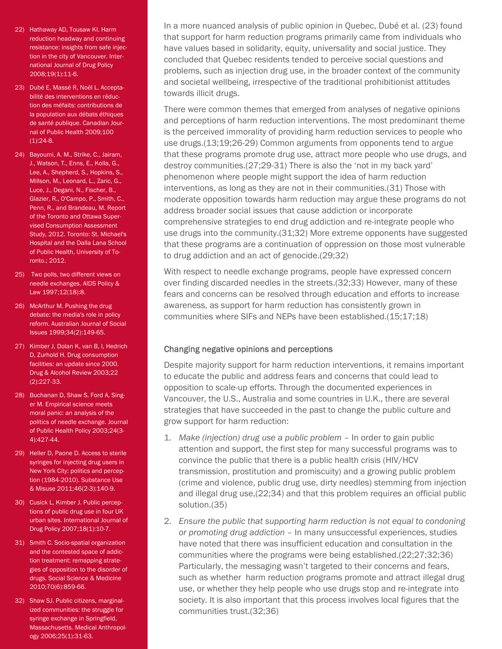- 22) Hathaway AD, Tousaw KI. Harm reduction headway and continuing resistance: insights from safe injection in the city of Vancouver. International Journal of Drug Policy 2008;19(1):11-6.
- 23) Dubé E, Massé R, Noël L. Acceptabilité des interventions en réduction des méfaits: contributions de la population aux débats éthiques de santé publique. Canadian Journal of Public Health 2009;100  $(1):24-8.$
- 24) Bayoumi, A. M., Strike, C., Jairam, J., Watson, T., Enns, E., Kolla, G., Lee, A., Shepherd, S., Hopkins, S., Millson, M., Leonard, L., Zaric, G., Luce, J., Degani, N., Fischer, B., Glazier, R., O'Campo, P., Smith, C., Penn, R., and Brandeau, M. Report of the Toronto and Ottawa Supervised Consumption Assessment Study, 2012. Toronto: St. Michael's Hospital and the Dalla Lana School of Public Health, University of Toronto.; 2012.
- 25) Two polls, two different views on needle exchanges. AIDS Policy & Law 1997;12(18):8.
- 26) McArthur M. Pushing the drug debate: the media's role in policy reform. Australian Journal of Social Issues 1999;34(2):149-65.
- 27) Kimber J, Dolan K, van B, I, Hedrich D, Zurhold H. Drug consumption facilities: an update since 2000. Drug & Alcohol Review 2003;22 (2):227-33.
- 28) Buchanan D, Shaw S, Ford A, Singer M. Empirical science meets moral panic: an analysis of the politics of needle exchange. Journal of Public Health Policy 2003;24(3- 4):427-44.
- 29) Heller D, Paone D. Access to sterile syringes for injecting drug users in New York City: politics and perception (1984-2010). Substance Use & Misuse 2011;46(2-3):140-9.
- 30) Cusick L, Kimber J. Public perceptions of public drug use in four UK urban sites. International Journal of Drug Policy 2007;18(1):10-7.
- 31) Smith C. Socio-spatial organization and the contested space of addiction treatment: remapping strategies of opposition to the disorder of drugs. Social Science & Medicine 2010;70(6):859-66.
- 32) Shaw SJ. Public citizens, marginalized communities: the struggle for syringe exchange in Springfield, Massachusetts. Medical Anthropology 2006;25(1):31-63.

In a more nuanced analysis of public opinion in Quebec, Dubé et al. (23) found that support for harm reduction programs primarily came from individuals who have values based in solidarity, equity, universality and social justice. They concluded that Quebec residents tended to perceive social questions and problems, such as injection drug use, in the broader context of the community and societal wellbeing, irrespective of the traditional prohibitionist attitudes towards illicit drugs.

There were common themes that emerged from analyses of negative opinions and perceptions of harm reduction interventions. The most predominant theme is the perceived immorality of providing harm reduction services to people who use drugs.(13;19;26-29) Common arguments from opponents tend to argue that these programs promote drug use, attract more people who use drugs, and destroy communities.(27;29-31) There is also the 'not in my back yard' phenomenon where people might support the idea of harm reduction interventions, as long as they are not in their communities.(31) Those with moderate opposition towards harm reduction may argue these programs do not address broader social issues that cause addiction or incorporate comprehensive strategies to end drug addiction and re-integrate people who use drugs into the community.(31;32) More extreme opponents have suggested that these programs are a continuation of oppression on those most vulnerable to drug addiction and an act of genocide.(29;32)

With respect to needle exchange programs, people have expressed concern over finding discarded needles in the streets.(32;33) However, many of these fears and concerns can be resolved through education and efforts to increase awareness, as support for harm reduction has consistently grown in communities where SIFs and NEPs have been established.(15;17;18)

### Changing negative opinions and perceptions

Despite majority support for harm reduction interventions, it remains important to educate the public and address fears and concerns that could lead to opposition to scale-up efforts. Through the documented experiences in Vancouver, the U.S., Australia and some countries in U.K., there are several strategies that have succeeded in the past to change the public culture and grow support for harm reduction:

- 1. *Make (injection) drug use a public problem*  In order to gain public attention and support, the first step for many successful programs was to convince the public that there is a public health crisis (HIV/HCV transmission, prostitution and promiscuity) and a growing public problem (crime and violence, public drug use, dirty needles) stemming from injection and illegal drug use,(22;34) and that this problem requires an official public solution.(35)
- 2. *Ensure the public that supporting harm reduction is not equal to condoning or promoting drug addiction* – In many unsuccessful experiences, studies have noted that there was insufficient education and consultation in the communities where the programs were being established.(22;27;32;36) Particularly, the messaging wasn't targeted to their concerns and fears, such as whether harm reduction programs promote and attract illegal drug use, or whether they help people who use drugs stop and re-integrate into society. It is also important that this process involves local figures that the communities trust.(32;36)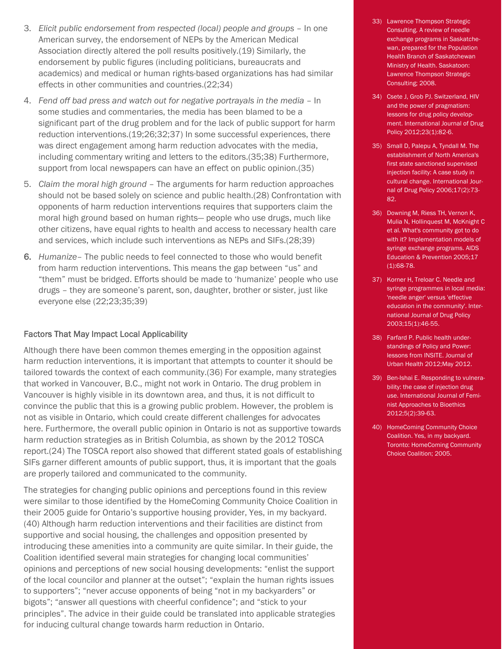- 3. *Elicit public endorsement from respected (local) people and groups In one* American survey, the endorsement of NEPs by the American Medical Association directly altered the poll results positively.(19) Similarly, the endorsement by public figures (including politicians, bureaucrats and academics) and medical or human rights-based organizations has had similar effects in other communities and countries.(22;34)
- 4. *Fend off bad press and watch out for negative portrayals in the media*  In some studies and commentaries, the media has been blamed to be a significant part of the drug problem and for the lack of public support for harm reduction interventions.(19;26;32;37) In some successful experiences, there was direct engagement among harm reduction advocates with the media, including commentary writing and letters to the editors.(35;38) Furthermore, support from local newspapers can have an effect on public opinion.(35)
- 5. *Claim the moral high ground*  The arguments for harm reduction approaches should not be based solely on science and public health.(28) Confrontation with opponents of harm reduction interventions requires that supporters claim the moral high ground based on human rights— people who use drugs, much like other citizens, have equal rights to health and access to necessary health care and services, which include such interventions as NEPs and SIFs.(28;39)
- 6. *Humanize* The public needs to feel connected to those who would benefit from harm reduction interventions. This means the gap between "us" and "them" must be bridged. Efforts should be made to 'humanize' people who use drugs – they are someone's parent, son, daughter, brother or sister, just like everyone else (22;23;35;39)

#### Factors That May Impact Local Applicability

Although there have been common themes emerging in the opposition against harm reduction interventions, it is important that attempts to counter it should be tailored towards the context of each community.(36) For example, many strategies that worked in Vancouver, B.C., might not work in Ontario. The drug problem in Vancouver is highly visible in its downtown area, and thus, it is not difficult to convince the public that this is a growing public problem. However, the problem is not as visible in Ontario, which could create different challenges for advocates here. Furthermore, the overall public opinion in Ontario is not as supportive towards harm reduction strategies as in British Columbia, as shown by the 2012 TOSCA report.(24) The TOSCA report also showed that different stated goals of establishing SIFs garner different amounts of public support, thus, it is important that the goals are properly tailored and communicated to the community.

The strategies for changing public opinions and perceptions found in this review were similar to those identified by the HomeComing Community Choice Coalition in their 2005 guide for Ontario's supportive housing provider, Yes, in my backyard. (40) Although harm reduction interventions and their facilities are distinct from supportive and social housing, the challenges and opposition presented by introducing these amenities into a community are quite similar. In their guide, the Coalition identified several main strategies for changing local communities' opinions and perceptions of new social housing developments: "enlist the support of the local councilor and planner at the outset"; "explain the human rights issues to supporters"; "never accuse opponents of being "not in my backyarders" or bigots"; "answer all questions with cheerful confidence"; and "stick to your principles". The advice in their guide could be translated into applicable strategies for inducing cultural change towards harm reduction in Ontario.

- 33) Lawrence Thompson Strategic Consulting. A review of needle exchange programs in Saskatchewan, prepared for the Population Health Branch of Saskatchewan Ministry of Health. Saskatoon: Lawrence Thompson Strategic Consulting; 2008.
- 34) Csete J, Grob PJ. Switzerland, HIV and the power of pragmatism: lessons for drug policy development. International Journal of Drug Policy 2012;23(1):82-6.
- 35) Small D, Palepu A, Tyndall M. The establishment of North America's first state sanctioned supervised injection facility: A case study in cultural change. International Journal of Drug Policy 2006;17(2):73- 82.
- 36) Downing M, Riess TH, Vernon K, Mulia N, Hollinquest M, McKnight C et al. What's community got to do with it? Implementation models of syringe exchange programs. AIDS Education & Prevention 2005;17 (1):68-78.
- 37) Korner H, Treloar C. Needle and syringe programmes in local media: 'needle anger' versus 'effective education in the community'. International Journal of Drug Policy 2003;15(1):46-55.
- 38) Farfard P. Public health understandings of Policy and Power: lessons from INSITE. Journal of Urban Health 2012;May 2012.
- 39) Ben-Ishai E. Responding to vulnerability: the case of injection drug use. International Journal of Feminist Approaches to Bioethics 2012;5(2):39-63.
- 40) HomeComing Community Choice Coalition. Yes, in my backyard. Toronto: HomeComing Community Choice Coalition; 2005.